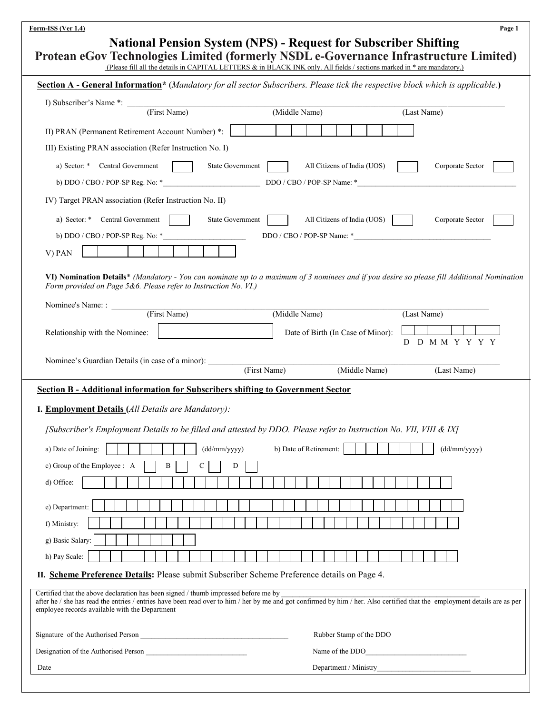| <b>National Pension System (NPS) - Request for Subscriber Shifting</b><br>Protean eGov Technologies Limited (formerly NSDL e-Governance Infrastructure Limited)<br>(Please fill all the details in CAPITAL LETTERS & in BLACK INK only. All fields / sections marked in * are mandatory.)<br>Section A - General Information* (Mandatory for all sector Subscribers. Please tick the respective block which is applicable.)<br>I) Subscriber's Name *: (First Name)<br>(Middle Name)<br>(Last Name)<br>II) PRAN (Permanent Retirement Account Number) *:<br>III) Existing PRAN association (Refer Instruction No. I)<br>a) Sector: * Central Government<br><b>State Government</b><br>All Citizens of India (UOS)<br>Corporate Sector<br>IV) Target PRAN association (Refer Instruction No. II)<br>State Government<br>a) Sector: * Central Government<br>All Citizens of India (UOS) $\vert$<br>Corporate Sector<br>$DDO / CBO / POP-SP Name: *$<br>b) $DDO / CBO / POP-SP$ Reg. No: $*$<br>V) PAN |
|-----------------------------------------------------------------------------------------------------------------------------------------------------------------------------------------------------------------------------------------------------------------------------------------------------------------------------------------------------------------------------------------------------------------------------------------------------------------------------------------------------------------------------------------------------------------------------------------------------------------------------------------------------------------------------------------------------------------------------------------------------------------------------------------------------------------------------------------------------------------------------------------------------------------------------------------------------------------------------------------------------|
|                                                                                                                                                                                                                                                                                                                                                                                                                                                                                                                                                                                                                                                                                                                                                                                                                                                                                                                                                                                                     |
|                                                                                                                                                                                                                                                                                                                                                                                                                                                                                                                                                                                                                                                                                                                                                                                                                                                                                                                                                                                                     |
|                                                                                                                                                                                                                                                                                                                                                                                                                                                                                                                                                                                                                                                                                                                                                                                                                                                                                                                                                                                                     |
|                                                                                                                                                                                                                                                                                                                                                                                                                                                                                                                                                                                                                                                                                                                                                                                                                                                                                                                                                                                                     |
|                                                                                                                                                                                                                                                                                                                                                                                                                                                                                                                                                                                                                                                                                                                                                                                                                                                                                                                                                                                                     |
|                                                                                                                                                                                                                                                                                                                                                                                                                                                                                                                                                                                                                                                                                                                                                                                                                                                                                                                                                                                                     |
|                                                                                                                                                                                                                                                                                                                                                                                                                                                                                                                                                                                                                                                                                                                                                                                                                                                                                                                                                                                                     |
|                                                                                                                                                                                                                                                                                                                                                                                                                                                                                                                                                                                                                                                                                                                                                                                                                                                                                                                                                                                                     |
|                                                                                                                                                                                                                                                                                                                                                                                                                                                                                                                                                                                                                                                                                                                                                                                                                                                                                                                                                                                                     |
|                                                                                                                                                                                                                                                                                                                                                                                                                                                                                                                                                                                                                                                                                                                                                                                                                                                                                                                                                                                                     |
|                                                                                                                                                                                                                                                                                                                                                                                                                                                                                                                                                                                                                                                                                                                                                                                                                                                                                                                                                                                                     |
|                                                                                                                                                                                                                                                                                                                                                                                                                                                                                                                                                                                                                                                                                                                                                                                                                                                                                                                                                                                                     |
| VI) Nomination Details* (Mandatory - You can nominate up to a maximum of 3 nominees and if you desire so please fill Additional Nomination<br>Form provided on Page 5&6. Please refer to Instruction No. VI.)<br>Nominee's Name: :                                                                                                                                                                                                                                                                                                                                                                                                                                                                                                                                                                                                                                                                                                                                                                  |
| (First Name)<br>(Middle Name)<br>(Last Name)                                                                                                                                                                                                                                                                                                                                                                                                                                                                                                                                                                                                                                                                                                                                                                                                                                                                                                                                                        |
| Relationship with the Nominee:<br>Date of Birth (In Case of Minor):<br>D D M M Y Y Y Y                                                                                                                                                                                                                                                                                                                                                                                                                                                                                                                                                                                                                                                                                                                                                                                                                                                                                                              |
| Nominee's Guardian Details (in case of a minor): [First Name]<br>(Middle Name)<br>(Last Name)                                                                                                                                                                                                                                                                                                                                                                                                                                                                                                                                                                                                                                                                                                                                                                                                                                                                                                       |
| Section B - Additional information for Subscribers shifting to Government Sector                                                                                                                                                                                                                                                                                                                                                                                                                                                                                                                                                                                                                                                                                                                                                                                                                                                                                                                    |
| I. Employment Details (All Details are Mandatory):                                                                                                                                                                                                                                                                                                                                                                                                                                                                                                                                                                                                                                                                                                                                                                                                                                                                                                                                                  |
| [Subscriber's Employment Details to be filled and attested by DDO. Please refer to Instruction No. VII, VIII & IX]                                                                                                                                                                                                                                                                                                                                                                                                                                                                                                                                                                                                                                                                                                                                                                                                                                                                                  |
|                                                                                                                                                                                                                                                                                                                                                                                                                                                                                                                                                                                                                                                                                                                                                                                                                                                                                                                                                                                                     |
| a) Date of Joining:<br>(dd/mm/yyyy)<br>b) Date of Retirement:<br>(dd/mm/yyyy)                                                                                                                                                                                                                                                                                                                                                                                                                                                                                                                                                                                                                                                                                                                                                                                                                                                                                                                       |
| c) Group of the Employee : A<br>B<br>С<br>D                                                                                                                                                                                                                                                                                                                                                                                                                                                                                                                                                                                                                                                                                                                                                                                                                                                                                                                                                         |
| d) Office:                                                                                                                                                                                                                                                                                                                                                                                                                                                                                                                                                                                                                                                                                                                                                                                                                                                                                                                                                                                          |
| e) Department:                                                                                                                                                                                                                                                                                                                                                                                                                                                                                                                                                                                                                                                                                                                                                                                                                                                                                                                                                                                      |
| f) Ministry:                                                                                                                                                                                                                                                                                                                                                                                                                                                                                                                                                                                                                                                                                                                                                                                                                                                                                                                                                                                        |
| g) Basic Salary:                                                                                                                                                                                                                                                                                                                                                                                                                                                                                                                                                                                                                                                                                                                                                                                                                                                                                                                                                                                    |
| h) Pay Scale:                                                                                                                                                                                                                                                                                                                                                                                                                                                                                                                                                                                                                                                                                                                                                                                                                                                                                                                                                                                       |
| II. Scheme Preference Details: Please submit Subscriber Scheme Preference details on Page 4.                                                                                                                                                                                                                                                                                                                                                                                                                                                                                                                                                                                                                                                                                                                                                                                                                                                                                                        |
| Certified that the above declaration has been signed / thumb impressed before me by<br>after he / she has read the entries / entries have been read over to him / her by me and got confirmed by him / her. Also certified that the employment details are as per<br>employee records available with the Department                                                                                                                                                                                                                                                                                                                                                                                                                                                                                                                                                                                                                                                                                 |
| Rubber Stamp of the DDO                                                                                                                                                                                                                                                                                                                                                                                                                                                                                                                                                                                                                                                                                                                                                                                                                                                                                                                                                                             |
|                                                                                                                                                                                                                                                                                                                                                                                                                                                                                                                                                                                                                                                                                                                                                                                                                                                                                                                                                                                                     |
| Designation of the Authorised Person<br>Name of the DDO                                                                                                                                                                                                                                                                                                                                                                                                                                                                                                                                                                                                                                                                                                                                                                                                                                                                                                                                             |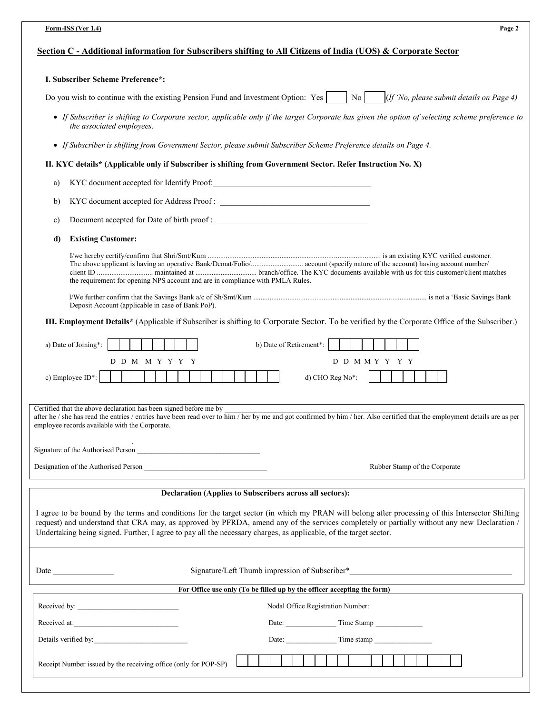| Form-ISS (Ver 1.4)<br>Page 2                                                                                                                                                                                                                                                                                                                                                                                          |
|-----------------------------------------------------------------------------------------------------------------------------------------------------------------------------------------------------------------------------------------------------------------------------------------------------------------------------------------------------------------------------------------------------------------------|
| Section C - Additional information for Subscribers shifting to All Citizens of India (UOS) & Corporate Sector                                                                                                                                                                                                                                                                                                         |
| I. Subscriber Scheme Preference*:                                                                                                                                                                                                                                                                                                                                                                                     |
| (If 'No, please submit details on Page 4)<br>Do you wish to continue with the existing Pension Fund and Investment Option: Yes<br>$\overline{N}$ o                                                                                                                                                                                                                                                                    |
| • If Subscriber is shifting to Corporate sector, applicable only if the target Corporate has given the option of selecting scheme preference to<br>the associated employees.                                                                                                                                                                                                                                          |
| • If Subscriber is shifting from Government Sector, please submit Subscriber Scheme Preference details on Page 4.                                                                                                                                                                                                                                                                                                     |
| II. KYC details* (Applicable only if Subscriber is shifting from Government Sector. Refer Instruction No. X)                                                                                                                                                                                                                                                                                                          |
| a)                                                                                                                                                                                                                                                                                                                                                                                                                    |
| b)                                                                                                                                                                                                                                                                                                                                                                                                                    |
| c)                                                                                                                                                                                                                                                                                                                                                                                                                    |
| <b>Existing Customer:</b><br>d)                                                                                                                                                                                                                                                                                                                                                                                       |
| the requirement for opening NPS account and are in compliance with PMLA Rules.                                                                                                                                                                                                                                                                                                                                        |
| Deposit Account (applicable in case of Bank PoP).                                                                                                                                                                                                                                                                                                                                                                     |
| III. Employment Details* (Applicable if Subscriber is shifting to Corporate Sector. To be verified by the Corporate Office of the Subscriber.)                                                                                                                                                                                                                                                                        |
|                                                                                                                                                                                                                                                                                                                                                                                                                       |
| a) Date of Joining*:<br>b) Date of Retirement*:<br>D D M M Y Y Y Y<br>D D M M Y Y Y Y                                                                                                                                                                                                                                                                                                                                 |
| c) Employee ID*:<br>d) CHO Reg No*:                                                                                                                                                                                                                                                                                                                                                                                   |
| Certified that the above declaration has been signed before me by<br>after he / she has read the entries / entries have been read over to him / her by me and got confirmed by him / her. Also certified that the employment details are as per<br>employee records available with the Corporate.                                                                                                                     |
|                                                                                                                                                                                                                                                                                                                                                                                                                       |
| Designation of the Authorised Person<br>Rubber Stamp of the Corporate                                                                                                                                                                                                                                                                                                                                                 |
| Declaration (Applies to Subscribers across all sectors):                                                                                                                                                                                                                                                                                                                                                              |
| I agree to be bound by the terms and conditions for the target sector (in which my PRAN will belong after processing of this Intersector Shifting<br>request) and understand that CRA may, as approved by PFRDA, amend any of the services completely or partially without any new Declaration /<br>Undertaking being signed. Further, I agree to pay all the necessary charges, as applicable, of the target sector. |
| Signature/Left Thumb impression of Subscriber*___________________________________<br>Date and the same state of the state of the state of the state of the state of the state of the state of the state of the state of the state of the state of the state of the state of the state of the state of the state of                                                                                                    |
| For Office use only (To be filled up by the officer accepting the form)                                                                                                                                                                                                                                                                                                                                               |
| Nodal Office Registration Number:                                                                                                                                                                                                                                                                                                                                                                                     |
| Received at:                                                                                                                                                                                                                                                                                                                                                                                                          |
| Details verified by:                                                                                                                                                                                                                                                                                                                                                                                                  |
| Receipt Number issued by the receiving office (only for POP-SP)                                                                                                                                                                                                                                                                                                                                                       |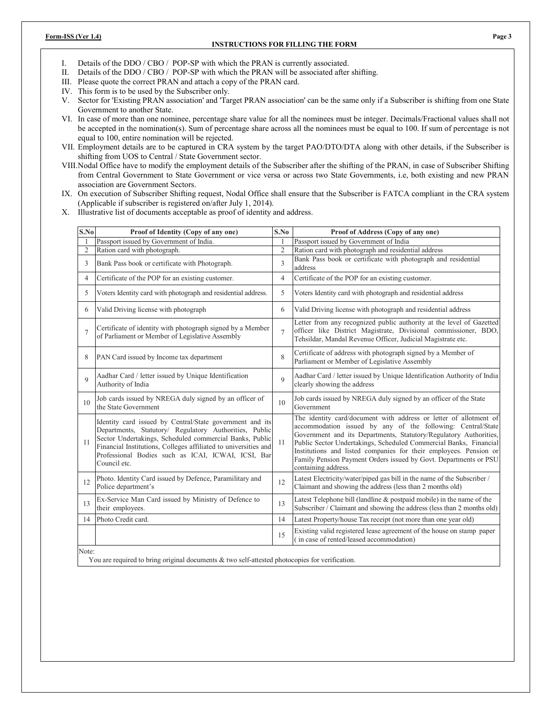#### **Form-ISS (Ver 1.4) Page 3**

## **INSTRUCTIONS FOR FILLING THE FORM**

I. Details of the DDO / CBO / POP-SP with which the PRAN is currently associated.

- II. Details of the DDO / CBO / POP-SP with which the PRAN will be associated after shifting.
- III. Please quote the correct PRAN and attach a copy of the PRAN card.
- IV. This form is to be used by the Subscriber only.
- V. Sector for 'Existing PRAN association' and 'Target PRAN association' can be the same only if a Subscriber is shifting from one State Government to another State.
- VI. In case of more than one nominee, percentage share value for all the nominees must be integer. Decimals/Fractional values shall not be accepted in the nomination(s). Sum of percentage share across all the nominees must be equal to 100. If sum of percentage is not equal to 100, entire nomination will be rejected.
- VII. Employment details are to be captured in CRA system by the target PAO/DTO/DTA along with other details, if the Subscriber is shifting from UOS to Central / State Government sector.
- VIII.Nodal Office have to modify the employment details of the Subscriber after the shifting of the PRAN, in case of Subscriber Shifting from Central Government to State Government or vice versa or across two State Governments, i.e, both existing and new PRAN association are Government Sectors.
- IX. On execution of Subscriber Shifting request, Nodal Office shall ensure that the Subscriber is FATCA compliant in the CRA system (Applicable if subscriber is registered on/after July 1, 2014).
- X. Illustrative list of documents acceptable as proof of identity and address.

| S.No            | Proof of Identity (Copy of any one)                                                                                                                                                                                                                                                                                    | S.No           | Proof of Address (Copy of any one)                                                                                                                                                                                                                                                                                                                                                                                                         |
|-----------------|------------------------------------------------------------------------------------------------------------------------------------------------------------------------------------------------------------------------------------------------------------------------------------------------------------------------|----------------|--------------------------------------------------------------------------------------------------------------------------------------------------------------------------------------------------------------------------------------------------------------------------------------------------------------------------------------------------------------------------------------------------------------------------------------------|
|                 | Passport issued by Government of India.                                                                                                                                                                                                                                                                                | 1              | Passport issued by Government of India                                                                                                                                                                                                                                                                                                                                                                                                     |
| $\overline{2}$  | Ration card with photograph.                                                                                                                                                                                                                                                                                           | $\overline{2}$ | Ration card with photograph and residential address                                                                                                                                                                                                                                                                                                                                                                                        |
| 3               | Bank Pass book or certificate with Photograph.                                                                                                                                                                                                                                                                         | 3              | Bank Pass book or certificate with photograph and residential<br>address                                                                                                                                                                                                                                                                                                                                                                   |
| 4               | Certificate of the POP for an existing customer.                                                                                                                                                                                                                                                                       | $\overline{4}$ | Certificate of the POP for an existing customer.                                                                                                                                                                                                                                                                                                                                                                                           |
| 5               | Voters Identity card with photograph and residential address.                                                                                                                                                                                                                                                          | 5              | Voters Identity card with photograph and residential address                                                                                                                                                                                                                                                                                                                                                                               |
| 6               | Valid Driving license with photograph                                                                                                                                                                                                                                                                                  | 6              | Valid Driving license with photograph and residential address                                                                                                                                                                                                                                                                                                                                                                              |
| $\overline{7}$  | Certificate of identity with photograph signed by a Member<br>of Parliament or Member of Legislative Assembly                                                                                                                                                                                                          | $\overline{7}$ | Letter from any recognized public authority at the level of Gazetted<br>officer like District Magistrate, Divisional commissioner, BDO,<br>Tehsildar, Mandal Revenue Officer, Judicial Magistrate etc.                                                                                                                                                                                                                                     |
| 8               | PAN Card issued by Income tax department                                                                                                                                                                                                                                                                               | 8              | Certificate of address with photograph signed by a Member of<br>Parliament or Member of Legislative Assembly                                                                                                                                                                                                                                                                                                                               |
| $\mathbf Q$     | Aadhar Card / letter issued by Unique Identification<br>Authority of India                                                                                                                                                                                                                                             | $\mathbf Q$    | Aadhar Card / letter issued by Unique Identification Authority of India<br>clearly showing the address                                                                                                                                                                                                                                                                                                                                     |
| 10 <sup>1</sup> | Job cards issued by NREGA duly signed by an officer of<br>the State Government                                                                                                                                                                                                                                         | 10             | Job cards issued by NREGA duly signed by an officer of the State<br>Government                                                                                                                                                                                                                                                                                                                                                             |
| 11              | Identity card issued by Central/State government and its<br>Departments, Statutory/ Regulatory Authorities, Public<br>Sector Undertakings, Scheduled commercial Banks, Public<br>Financial Institutions, Colleges affiliated to universities and<br>Professional Bodies such as ICAI, ICWAI, ICSI, Bar<br>Council etc. | 11             | The identity card/document with address or letter of allotment of<br>accommodation issued by any of the following: Central/State<br>Government and its Departments, Statutory/Regulatory Authorities,<br>Public Sector Undertakings, Scheduled Commercial Banks, Financial<br>Institutions and listed companies for their employees. Pension or<br>Family Pension Payment Orders issued by Govt. Departments or PSU<br>containing address. |
| 12              | Photo. Identity Card issued by Defence, Paramilitary and<br>Police department's                                                                                                                                                                                                                                        | 12             | Latest Electricity/water/piped gas bill in the name of the Subscriber /<br>Claimant and showing the address (less than 2 months old)                                                                                                                                                                                                                                                                                                       |
| 13              | Ex-Service Man Card issued by Ministry of Defence to<br>their employees.                                                                                                                                                                                                                                               | 13             | Latest Telephone bill (landline & postpaid mobile) in the name of the<br>Subscriber / Claimant and showing the address (less than 2 months old)                                                                                                                                                                                                                                                                                            |
| 14              | Photo Credit card.                                                                                                                                                                                                                                                                                                     | 14             | Latest Property/house Tax receipt (not more than one year old)                                                                                                                                                                                                                                                                                                                                                                             |
|                 |                                                                                                                                                                                                                                                                                                                        | 15             | Existing valid registered lease agreement of the house on stamp paper<br>(in case of rented/leased accommodation)                                                                                                                                                                                                                                                                                                                          |
| Note:           |                                                                                                                                                                                                                                                                                                                        |                |                                                                                                                                                                                                                                                                                                                                                                                                                                            |

You are required to bring original documents & two self-attested photocopies for verification.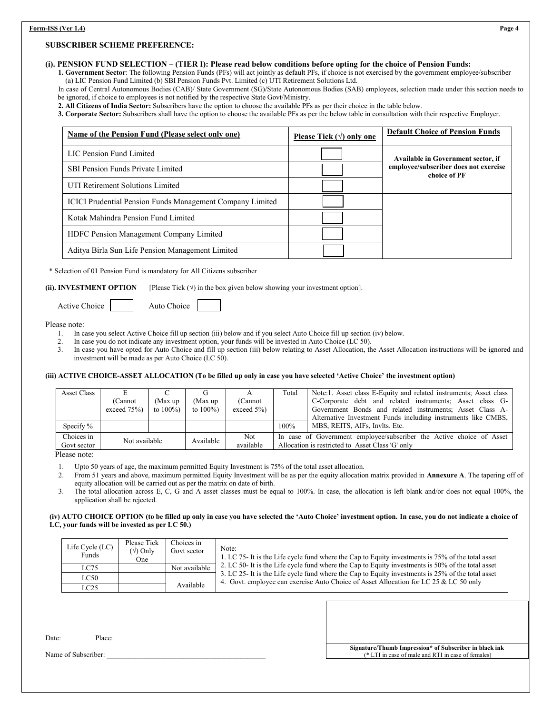#### **SUBSCRIBER SCHEME PREFERENCE:**

## **(i). PENSION FUND SELECTION – (TIER I): Please read below conditions before opting for the choice of Pension Funds:**

 **1. Government Sector**: The following Pension Funds (PFs) will act jointly as default PFs, if choice is not exercised by the government employee/subscriber (a) LIC Pension Fund Limited (b) SBI Pension Funds Pvt. Limited (c) UTI Retirement Solutions Ltd.

 In case of Central Autonomous Bodies (CAB)/ State Government (SG)/State Autonomous Bodies (SAB) employees, selection made under this section needs to be ignored, if choice to employees is not notified by the respective State Govt/Ministry.

 **2. All Citizens of India Sector:** Subscribers have the option to choose the available PFs as per their choice in the table below.

 **3. Corporate Sector:** Subscribers shall have the option to choose the available PFs as per the below table in consultation with their respective Employer.

| Name of the Pension Fund (Please select only one)                | Please Tick $(\forall)$ only one | <b>Default Choice of Pension Funds</b>                |
|------------------------------------------------------------------|----------------------------------|-------------------------------------------------------|
| LIC Pension Fund Limited                                         |                                  | Available in Government sector, if                    |
| <b>SBI Pension Funds Private Limited</b>                         |                                  | employee/subscriber does not exercise<br>choice of PF |
| UTI Retirement Solutions Limited                                 |                                  |                                                       |
| <b>ICICI Prudential Pension Funds Management Company Limited</b> |                                  |                                                       |
| Kotak Mahindra Pension Fund Limited                              |                                  |                                                       |
| HDFC Pension Management Company Limited                          |                                  |                                                       |
| Aditya Birla Sun Life Pension Management Limited                 |                                  |                                                       |

\* Selection of 01 Pension Fund is mandatory for All Citizens subscriber

**(ii). <b>INVESTMENT OPTION** [Please Tick  $(\sqrt{})$  in the box given below showing your investment option].

Active Choice | Auto Choice

Please note:

- 1. In case you select Active Choice fill up section (iii) below and if you select Auto Choice fill up section (iv) below.
- 2. In case you do not indicate any investment option, your funds will be invested in Auto Choice (LC 50).
- 3. In case you have opted for Auto Choice and fill up section (iii) below relating to Asset Allocation, the Asset Allocation instructions will be ignored and investment will be made as per Auto Choice (LC 50).

#### **(iii) ACTIVE CHOICE-ASSET ALLOCATION (To be filled up only in case you have selected 'Active Choice' the investment option)**

| <b>Asset Class</b> |               |              |              |                | Total                                                                | Note:1. Asset class E-Equity and related instruments; Asset class |  |  |  |
|--------------------|---------------|--------------|--------------|----------------|----------------------------------------------------------------------|-------------------------------------------------------------------|--|--|--|
|                    | (Cannot       | (Max up      | (Max up      | (Cannot        |                                                                      | C-Corporate debt and related instruments; Asset class G-          |  |  |  |
|                    | exceed $75%$  | to $100\%$ ) | to $100\%$ ) | exceed $5\%$ ) |                                                                      | Government Bonds and related instruments; Asset Class A-          |  |  |  |
|                    |               |              |              |                |                                                                      | Alternative Investment Funds including instruments like CMBS,     |  |  |  |
| Specify $\%$       |               |              |              |                | 100%                                                                 | MBS, REITS, AIFs, Invlts. Etc.                                    |  |  |  |
| Choices in         |               |              |              | Not.           | In case of Government employee/subscriber the Active choice of Asset |                                                                   |  |  |  |
| Govt sector        | Not available |              | Available    | available      | Allocation is restricted to Asset Class 'G' only                     |                                                                   |  |  |  |

Please note:

- 1. Upto 50 years of age, the maximum permitted Equity Investment is 75% of the total asset allocation.
- 2. From 51 years and above, maximum permitted Equity Investment will be as per the equity allocation matrix provided in **Annexure A**. The tapering off of equity allocation will be carried out as per the matrix on date of birth.
- 3. The total allocation across E, C, G and A asset classes must be equal to 100%. In case, the allocation is left blank and/or does not equal 100%, the application shall be rejected.

#### **(iv) AUTO CHOICE OPTION (to be filled up only in case you have selected the 'Auto Choice' investment option. In case, you do not indicate a choice of LC, your funds will be invested as per LC 50.)**

| Life Cycle (LC)<br>Funds | Please Tick<br>$(\sqrt{})$ Only<br>One | Choices in<br>Govt sector | Note:<br>1. LC 75- It is the Life cycle fund where the Cap to Equity investments is 75% of the total asset                                                                                 |
|--------------------------|----------------------------------------|---------------------------|--------------------------------------------------------------------------------------------------------------------------------------------------------------------------------------------|
| LC75                     |                                        | Not available             | 2. LC 50- It is the Life cycle fund where the Cap to Equity investments is 50% of the total asset                                                                                          |
| LC50                     |                                        |                           | 3. LC 25- It is the Life cycle fund where the Cap to Equity investments is 25% of the total asset<br>4. Govt. employee can exercise Auto Choice of Asset Allocation for LC 25 & LC 50 only |
| LC25                     |                                        | Available                 |                                                                                                                                                                                            |

Date: Place:

Name of Subscriber: **Name of Subscriber: Name of Subscriber: Name of Subscriber: Name of Subscriber: Name of Subscriber: Name of Subscriber: Name of Subscriber: Name of Subscriber: Name of Subscriber: Nam** (\* LTI in case of male and RTI in case of females)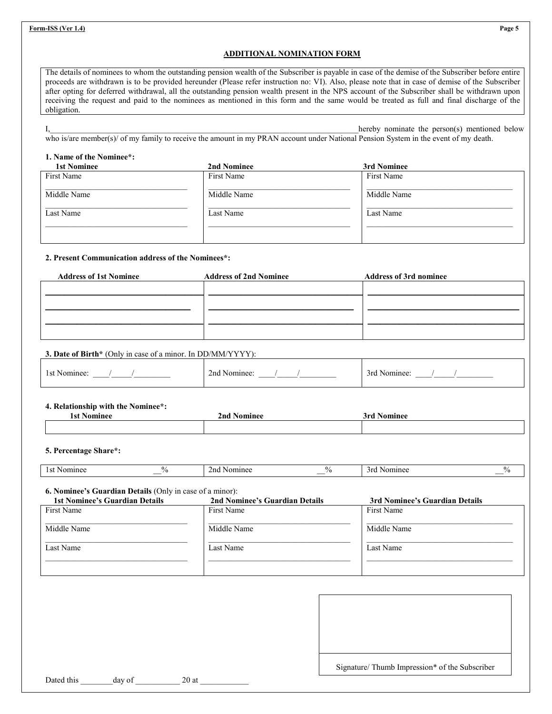# **ADDITIONAL NOMINATION FORM**

The details of nominees to whom the outstanding pension wealth of the Subscriber is payable in case of the demise of the Subscriber before entire proceeds are withdrawn is to be provided hereunder (Please refer instruction no: VI). Also, please note that in case of demise of the Subscriber after opting for deferred withdrawal, all the outstanding pension wealth present in the NPS account of the Subscriber shall be withdrawn upon receiving the request and paid to the nominees as mentioned in this form and the same would be treated as full and final discharge of the obligation.

|                                                                                                                                     |  |  | hereby nominate the person(s) mentioned below |  |
|-------------------------------------------------------------------------------------------------------------------------------------|--|--|-----------------------------------------------|--|
| who is/are member(s)/ of my family to receive the amount in my PRAN account under National Pension System in the event of my death. |  |  |                                               |  |

### **1. Name of the Nominee\*:**

| <b>1st Nominee</b> | 2nd Nominee | 3rd Nominee |
|--------------------|-------------|-------------|
| First Name         | First Name  | First Name  |
| Middle Name        | Middle Name | Middle Name |
| Last Name          | Last Name   | Last Name   |
|                    |             |             |
|                    |             |             |

# **2. Present Communication address of the Nominees\*:**

| <b>Address of 1st Nominee</b> | <b>Address of 2nd Nominee</b> | <b>Address of 3rd nominee</b> |
|-------------------------------|-------------------------------|-------------------------------|
|                               |                               |                               |
|                               |                               |                               |
|                               |                               |                               |
|                               |                               |                               |
|                               |                               |                               |
|                               |                               |                               |

# **3. Date of Birth\*** (Only in case of a minor. In DD/MM/YYYY):

| ⊥st.<br>Nominee | ~<br>2nd<br>Nominee. | −3rc<br>' Nominec |
|-----------------|----------------------|-------------------|
|-----------------|----------------------|-------------------|

# **4. Relationship with the Nominee\*:**

| 1st     | 2 <sub>nd</sub> | ərd     |  |
|---------|-----------------|---------|--|
| lominee | Nominee         | vominee |  |
|         |                 |         |  |

# **5. Percentage Share\*:**

| ш<br>` | $\mathbf{u}$ | m0 | п.<br>70 | -<br>,,, |                          |
|--------|--------------|----|----------|----------|--------------------------|
|        | __           |    |          |          | $\overline{\phantom{a}}$ |

# **6. Nominee's Guardian Details** (Only in case of a minor):

| <b>1st Nominee's Guardian Details</b> | 2nd Nominee's Guardian Details | 3rd Nominee's Guardian Details |
|---------------------------------------|--------------------------------|--------------------------------|
| First Name                            | First Name                     | First Name                     |
| Middle Name                           | Middle Name                    | Middle Name                    |
| Last Name                             | Last Name                      | Last Name                      |
|                                       |                                |                                |

| Dated this |  |
|------------|--|

Signature/ Thumb Impression\* of the Subscriber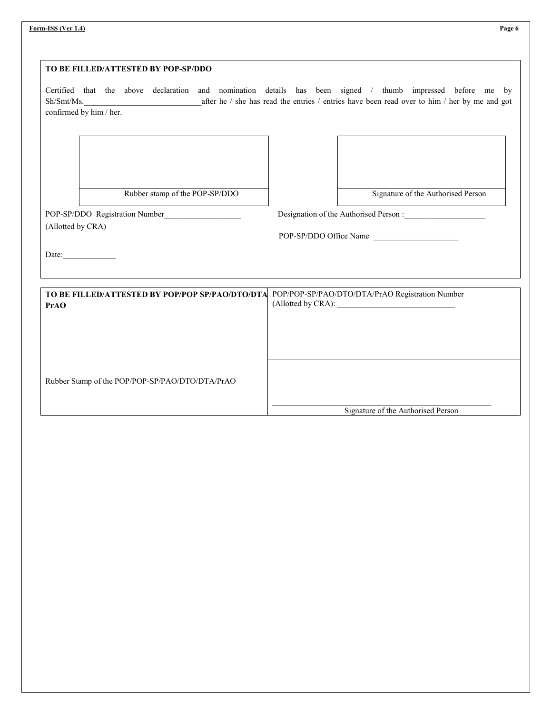| TO BE FILLED/ATTESTED BY POP-SP/DDO                                                                                 |                                                                                                                                                                                                                       |
|---------------------------------------------------------------------------------------------------------------------|-----------------------------------------------------------------------------------------------------------------------------------------------------------------------------------------------------------------------|
| confirmed by him / her.                                                                                             | Certified that the above declaration and nomination details has been signed / thumb impressed before me by<br>Sh/Smt/Ms. after he / she has read the entries / entries have been read over to him / her by me and got |
|                                                                                                                     |                                                                                                                                                                                                                       |
|                                                                                                                     |                                                                                                                                                                                                                       |
| Rubber stamp of the POP-SP/DDO                                                                                      | Signature of the Authorised Person                                                                                                                                                                                    |
| POP-SP/DDO Registration Number                                                                                      | Designation of the Authorised Person :                                                                                                                                                                                |
| (Allotted by CRA)                                                                                                   |                                                                                                                                                                                                                       |
|                                                                                                                     | POP-SP/DDO Office Name                                                                                                                                                                                                |
|                                                                                                                     |                                                                                                                                                                                                                       |
|                                                                                                                     |                                                                                                                                                                                                                       |
|                                                                                                                     |                                                                                                                                                                                                                       |
|                                                                                                                     | POP/POP-SP/PAO/DTO/DTA/PrAO Registration Number                                                                                                                                                                       |
|                                                                                                                     |                                                                                                                                                                                                                       |
|                                                                                                                     |                                                                                                                                                                                                                       |
|                                                                                                                     |                                                                                                                                                                                                                       |
|                                                                                                                     |                                                                                                                                                                                                                       |
|                                                                                                                     |                                                                                                                                                                                                                       |
| Date:<br>TO BE FILLED/ATTESTED BY POP/POP SP/PAO/DTO/DTA<br>PrAO<br>Rubber Stamp of the POP/POP-SP/PAO/DTO/DTA/PrAO |                                                                                                                                                                                                                       |

**Form-ISS (Ver 1.4) Page 6**